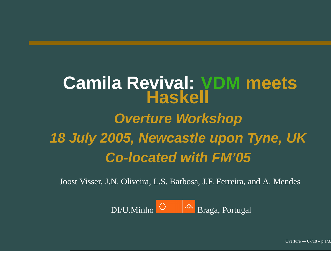#### **Camila Revival: VDM meets Haskell Overture Workshop 18 July 2005, Newcastle upon Tyne, UK Co-located with FM'05**

Joost Visser, J.N. Oliveira, L.S. Barbosa, J.F. Ferreira, and A. Mendes

DI/U.MinhoBraga, Portugal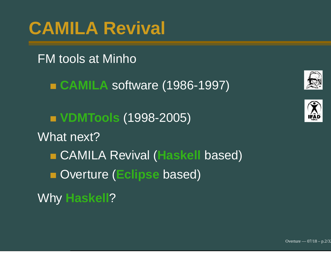# **CAMILA Revival**

#### FM tools at Minho

**CAMILA** software (1986-1997)

**VDMTools** (1998-2005) What next?

CAMILA Revival (**Haskell** based)

Overture (**Eclipse** based)

Why **Haskell**?



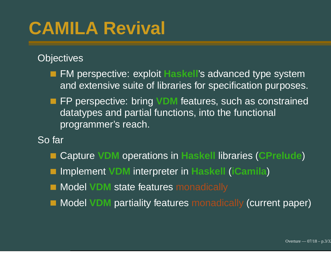# **CAMILA Revival**

**Objectives** 

- FM perspective: exploit **Haskell**'s advanced type system and extensive suite of libraries for specification purposes.
- FP perspective: bring **VDM** features, such as constrained datatypes and partial functions, into the functional programmer's reach.

So far

- Capture **VDM** operations in **Haskell** libraries (**CPrelude**)
- Implement **VDM** interpreter in **Haskell** (**iCamila**)
- Model **VDM** state features monadically
- Model **VDM** partiality features monadically (current paper)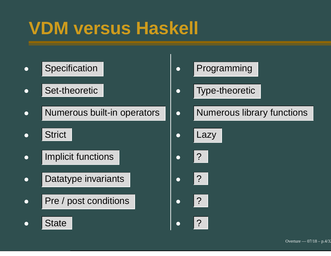# **VDM versus Haskell**

- o Specification **Programming**
- **C** Set-theoretic
- **Numerous built-in**
- o Strict Contains a Lazy
- o | Implicit functions | 2000 | 2000
- Datatype invariants ?
- Pre / post conditions | Call | 2 | 2
- 
- **o** Type-theoretic
- o Numerous library functions
	-
- 
- 
- 
- **•** State e de la construcción de la construcción de la construcción de la construcción de la construcción de la constru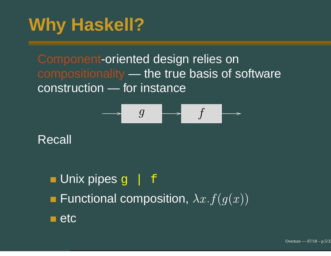Component-oriented design relies on compositionality — the true basis of software construction — for instance

$$
\qquad \qquad \longrightarrow \qquad g \qquad \qquad \longrightarrow \qquad f \qquad \longrightarrow
$$

Recall

#### **Unix pipes g** F Functional composition,  $\lambda x.$  $f(g(x))$  $\blacksquare$  etc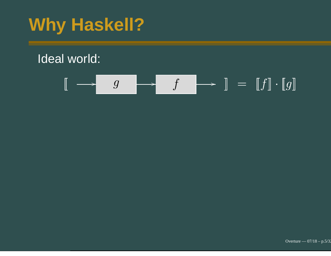#### Ideal world:

$$
\llbracket \begin{array}{c} \longrightarrow \begin{array}{c} g \\ \hline \end{array} \end{array} \end{array} \begin{array}{c} \longrightarrow \begin{array}{c} f \\ \hline \end{array} \end{array} \begin{array}{c} \longrightarrow \begin{array}{c} \end{array} \begin{array}{c} \end{array} \begin{array}{c} \end{array} \begin{array}{c} \end{array} \begin{array}{c} \end{array} \begin{array}{c} \end{array} \begin{array}{c} \end{array} \begin{array}{c} \end{array} \begin{array}{c} \end{array} \begin{array}{c} \end{array} \begin{array}{c} \end{array} \begin{array}{c} \end{array} \begin{array}{c} \end{array} \begin{array} \end{array}
$$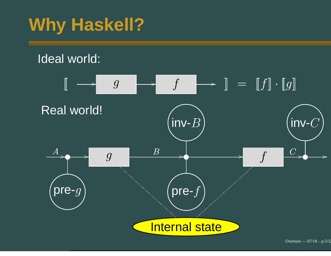#### Ideal world:

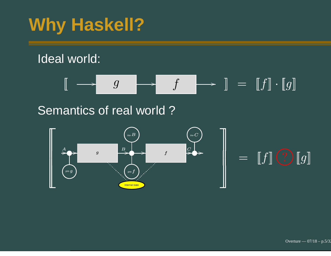#### Ideal world:



#### Semantics of real world ?

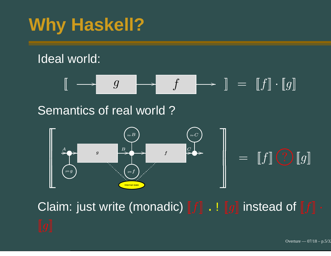#### Ideal world:



#### Semantics of real world ?



Claim: just write (monadic)  $\llbracket f \rrbracket$  .  $\mathrel{\llbracket} g \rrbracket$  instead of  $\llbracket f \rrbracket$ 

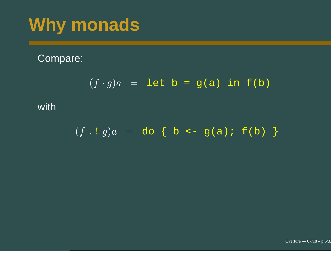#### Compare:

$$
(f \cdot g)a = \text{let } b = g(a) \text{ in } f(b)
$$

#### with

$$
(f \cdot g)a = do \{ b \leftarrow g(a) : f(b) \}
$$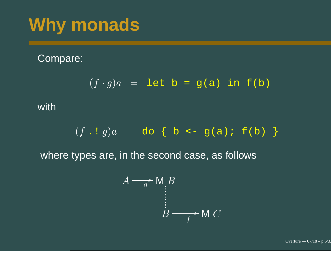#### Compare:

$$
(f \cdot g)a = \text{let } b = g(a) \text{ in } f(b)
$$

with

$$
(f \cdot g)a = do \{ b \leftarrow g(a) \colon f(b) \}
$$

where types are, in the second case, as follows

$$
A \longrightarrow M B
$$
  
 
$$
B \longrightarrow M C
$$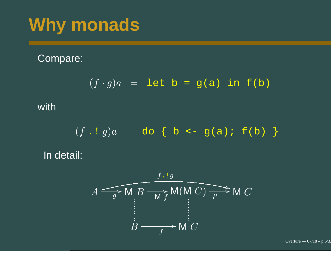#### Compare:

$$
(f \cdot g)a = \text{let } b = g(a) \text{ in } f(b)
$$

#### with

$$
(f \cdot g)a = do \{ b \le g(a) : f(b) \}
$$
  
ii

In detail:

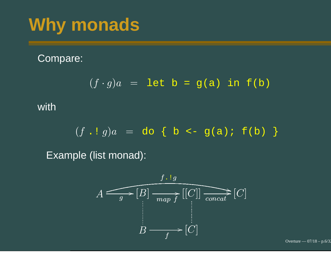#### Compare:

$$
(f \cdot g)a = \text{let } b = g(a) \text{ in } f(b)
$$

with

$$
(f \cdot g)a = do \{ b \leftarrow g(a) \colon f(b) \}
$$

Example (list monad):



Overture —  $07/18$  – p.6/32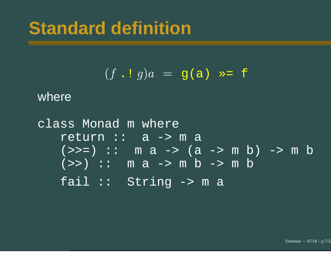$$
(f \cdot \mathbf{i} \cdot g)a = g(a) \quad \Rightarrow \quad f
$$

where

class Monad <sup>m</sup> where return :: a -> m a  $(>>=) :: m a -> (a -> m b) -> m b$  $\overline{(\gg\!)}$  :: m a -> m b -> m b fail :: String -> <sup>m</sup> <sup>a</sup>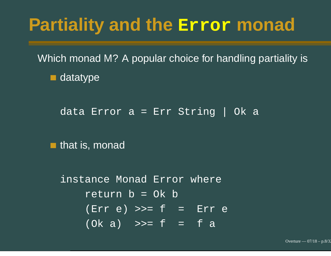#### **Partiality and the Error monad**

Which monad M? A popular choice for handling partiality is **datatype** 

data Error <sup>a</sup> <sup>=</sup> Err String | Ok <sup>a</sup>

 $\blacksquare$  that is, monad

instance Monad Error where return b <sup>=</sup> Ok b  $(Err e) >> f = Err e$  $(Ok a) \Rightarrow f = fa$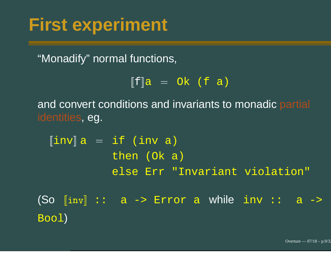#### **First experiment**

"Monadify" normal functions,

 $\begin{array}{rcl} [\mathbf{f}] \mathbf{a} & = & \mathrm{Ok} & (\mathbf{f} \ \ \mathbf{a}) \end{array}$ ns and invariants to

and convert conditions and invariants to monadic partial identities, eg.

 $inv$  a  $=$ if (inv a)<br>then (Ok a then (Ok a) else Err "Invariant violation" (So [inv] :: a -> Error a while inv :: a ->

Bool)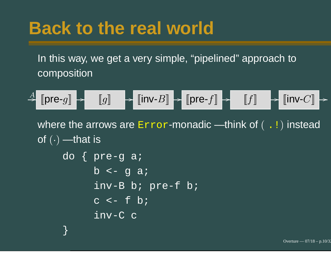## **Back to the real world**

}

In this way, we get <sup>a</sup> very simple, "pipelined" approach to composition

$$
\xrightarrow{A} \llbracket \mathsf{pre}\text{-}g \rrbracket \xrightarrow{} \llbracket g \rrbracket \xrightarrow{} \llbracket \mathsf{inv}\text{-}B \rrbracket \xrightarrow{} \llbracket \mathsf{pre}\text{-}f \rrbracket \xrightarrow{} \llbracket f \rrbracket \xrightarrow{} \llbracket \mathsf{inv}\text{-}C \rrbracket \xrightarrow{} \\
$$

of  $(\cdot)$  —that is where the arrows are  $\texttt{Error-monadic}$  —think of (  $\,$  . ! ) instead do { pre-g a; b <- g a; inv-B b; pre-f b; c <- f b; inv-C c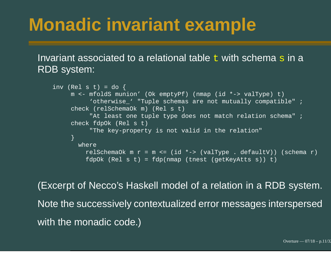## **Monadic invariant example**

#### Invariant associated to a relational table  $\pm$  with schema  $\bf s$  in a RDB system:

```
inv (Rel s t) = do {
    m <- mfoldS munion' (Ok emptyPf) (nmap (id *-> valType) t)
          'otherwise ' "Tuple schemas are not mutually compatible" ;
     check (relSchemaOk m) (Rel s t)
          "At least one tuple type does not match relation schema" ;
     check fdpOk (Rel s t)
          "The key-property is not valid in the relation"
    }
      whererelSchemaOk m r = m <= (id *-> (valType . defaultV)) (schema r)
        fdpOk (Rel s t) = fdp(nmap (tnest (getKeyAtts s)) t)
```
(Excerpt of Necco's Haskell model of <sup>a</sup> relation in <sup>a</sup> RDB system. Note the successively contextualized error messages interspersed with the monadic code.)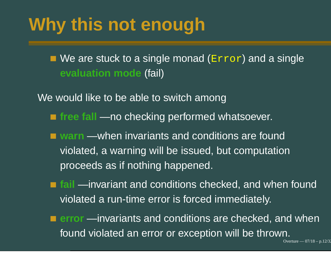# **Why this not enough**

We are stuck to a single monad ( $\mathtt{Error}$ ) and a single **evaluation mode** (fail)

We would like to be able to switch among

- **free fall** no checking performed whatsoever.
- **warn** when invariants and conditions are found violated, <sup>a</sup> warning will be issued, but computation proceeds as if nothing happened.
- **fail** invariant and conditions checked, and when found violated <sup>a</sup> run-time error is forced immediately.
- **error** invariants and conditions are checked, and when found violated an error or exception will be thrown.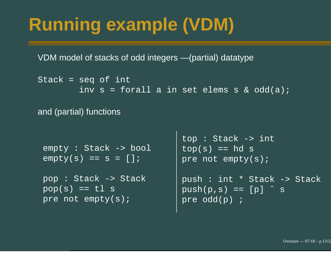# **Running example (VDM)**

VDM model of stacks of odd integers — (partial) datatype

```
Stack = seq of int
        inv s = forall a in set elems s & odd(a);
```
and (partial) functions

```
empty : Stack -> bool
empty(s) == s = []
```

```
pop : Stack -> Stack
pop(s) == t1 spre not empty(s);
```

```
top : Stack -> int
top(s) == hd spre not empty(s);
```

```
push : int * Stack -> Stack
push(p, s) == [p] \hat{S}pre odd(p) ;
```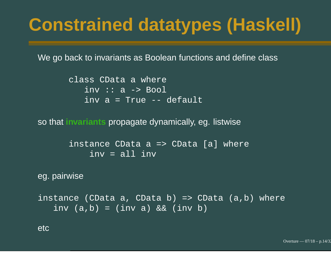# **Constrained datatypes (Haskell)**

We go back to invariants as Boolean functions and define class

class CData <sup>a</sup> where inv :: <sup>a</sup> -> Bool inv <sup>a</sup> <sup>=</sup> True -- default

so that **invariants** propagate dynamically, eg. listwise

instance CData <sup>a</sup> => CData [a] where inv <sup>=</sup> all inv

eg. pairwise

```
instance (CData a, CData b) => CData (a,b) where
   inv (a,b) = (inv a) && (inv b)
```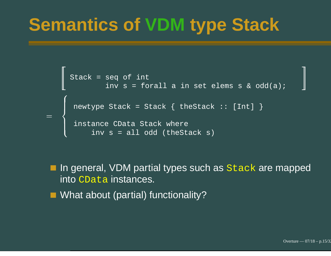## **Semantics of VDM type Stack**

```
Stack = seq of int seq of int<br>inv s = forall a in set elems s & odd(a);
newtype Stack = Stack { theStack :: [Int] }<br>instance CData Stack where<br>inv s = all odd (theStack s)<br>ingeneral, VDM partial types such as Stack a<br>to CData instances.<br>hat about (partial) functionality?
```
In general, VDM partial types such as  ${\tt Stack}$  are mapped into CData instances.

■ What about (partial) functionality?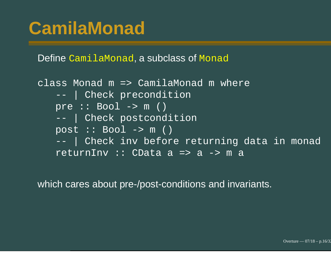## **CamilaMonad**

Define CamilaMonad, <sup>a</sup> subclass of Monad

class Monad m => CamilaMonad m where --- | Check precondition pre :: Bool -> m () --- | Check postcondition post :: Bool -> m () --- | Check inv before returning data in monad returnInv :: CData a => a -> ma

which cares about pre-/post-conditions and in variants.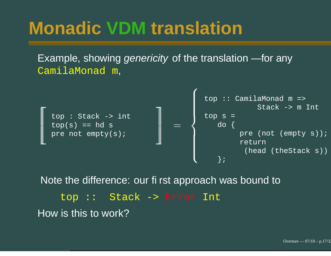# **Monadic VDM translation**

Example, showing *genericity* of the translation — for any CamilaMonad m,



Note the difference: our first approach was bound to top :: Stack -> Error Int How is this to work?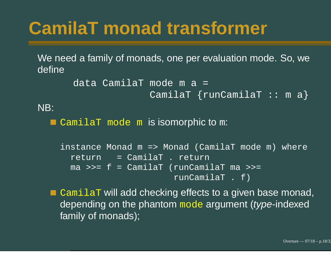# **CamilaT monad transformer**

We need <sup>a</sup> family of monads, one per evaluation mode. So, we define

```
data CamilaT mode m a =
             CamilaT {runCamilaT :: m a}
```
NB:

CamilaT mode <sup>m</sup> is isomorphic to <sup>m</sup>:

```
instance Monad m => Monad (CamilaT mode m) where
 return = CamilaT . return
 ma >>= f = CamilaT (runCamilaT ma >>=
                      runCamilaT . f)
```
 $\mathtt{Camilar}$  will add checking effects to a given base monad, depending on the phantom mode argument (type-indexed family of monads);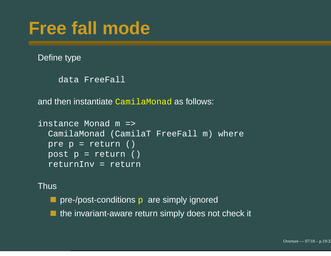### **Free fall mode**

Define type

```
data FreeFall
```
and then instantiate  $\mathtt{Cami1}$ aMonad as follows:

```
instance Monad m =>
  CamilaMonad (CamilaT FreeFall m) where
 pre p = return ()
 post p = return ()
  returnInv = return
```
Thus

**Party Pre-/post-conditions p are simply ignored** 

the invariant-aware return simply does not check it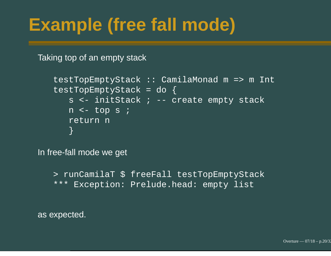# **Example (free fall mode)**

Taking top of an empty stack

```
testTopEmptyStack :: CamilaMonad m => m Int
testTopEmptyStack = do {
   s <- initStack ; -- create empty stack
   n <- top s ;
   return n
   }
```
In free-fall mode we get

```
> runCamilaT $ freeFall testTopEmptyStack
*** Exception: Prelude.head: empty list
```
as expected.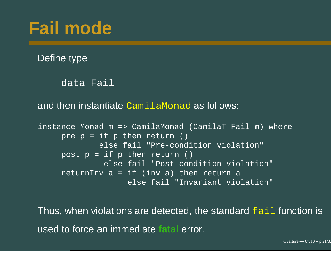## **Fail mode**

Define type

data Fail

and then instantiate CamilaMonad as follows:

```
instance Monad m => CamilaMonad (CamilaT Fail m) where
    pre p = if p then return ()else fail "Pre-condition violation"
    post p = if p then return()else fail "Post-condition violation"
     returnInv a = if (inv a) then return a
                   else fail "Invariant violation"
```
Thus, when violations are detected, the standard fail function is used to force an immediate **fatal** error.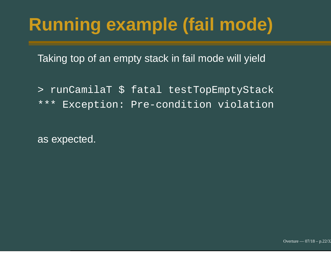# **Running example (fail mode)**

Taking top of an empty stack in fail mode will yield

> runCamilaT \$ fatal testTopEmptyStack \*\*\*Exception: Pre-condition violation

as expected.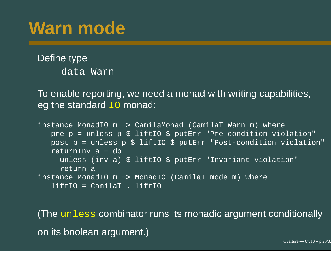Define type data Warn

To enable reporting, we need <sup>a</sup> monad with writing capabilities, eg the standard IO monad:

```
instance MonadIO m => CamilaMonad (CamilaT Warn m) where
  pre p = unless p $ liftIO $ putErr "Pre-condition violation"
  post p = unless p $ liftIO $ putErr "Post-condition violation"
   returnInv a = do
     unless (inv a) $ liftIO $ putErr "Invariant violation"
     return a
instance MonadIO m => MonadIO (CamilaT mode m) where
   liftIO = CamilaT . liftIO
```
(The unless combinator runs its monadic argument conditionally on its boolean argument.)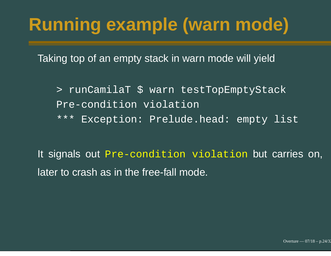# **Running example (warn mode)**

Taking top of an empty stack in warn mode will yield

> runCamilaT \$ warn testTopEmptyStack Pre-condition violation

\*\*\* Exception: Prelude.head: empty list

It signals out Pre-condition violation but carries on, later to crash as in the free-fall mode.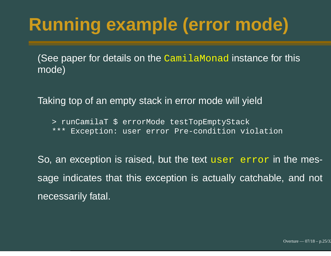# **Running example (error mode)**

(See paper for details on the CamilaMonad instance for this mode)

Taking top of an empty stack in error mode will yield

> runCamilaT \$ errorMode testTopEmptyStack \*\*\* Exception: user error Pre-condition violation

So, an exception is raised, but the text user error in the message indicates that this exception is actually catchable, and not necessarily fatal.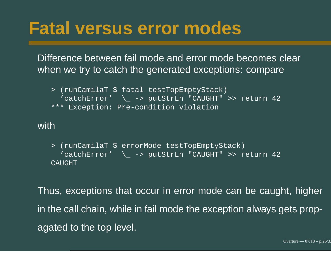## **Fatal versus error modes**

Difference between fail mode and error mode becomes clear when we try to catch the generated exceptions: compare

```
> (runCamilaT $ fatal testTopEmptyStack)
  'catchError' \_ -> putStrLn "CAUGHT" >> return 42
*** Exception: Pre-condition violation
```
#### with

> (runCamilaT \$ errorMode testTopEmptyStack) 'catchError' \\_ -> putStrLn "CAUGHT" >> return 42 CAUGHT

Thus, exceptions that occur in error mode can be caught, higher in the call chain, while in fail mode the exception always gets propagated to the top level.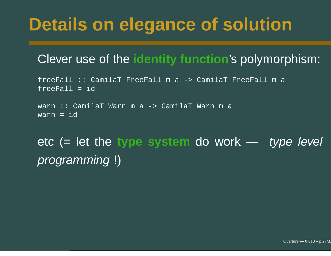# **Details on elegance of solution**

#### Clever use of the **identity function**'s polymorphism:

freeFall :: CamilaT FreeFall <sup>m</sup> <sup>a</sup> -> CamilaT FreeFall <sup>m</sup> <sup>a</sup> freeFall <sup>=</sup> id

warn :: CamilaT Warn <sup>m</sup> <sup>a</sup> -> CamilaT Warn <sup>m</sup> <sup>a</sup> warn <sup>=</sup> id

#### etc (= let the **type system** do work — type level programming !)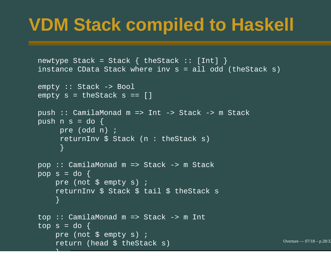## **VDM Stack compiled to Haskell**

```
newtype Stack = Stack { the Stack : [Int] }
instance CData Stack where inv s = all odd (theStack s)
empty :: Stack -> Bool
\overline{\text{empty s}} = \overline{\text{theStack s}} = \Boxpush :: CamilaMonad m => Int -> Stack -> m Stack
push n s = do {
     pre (odd n) ;
      returnInv $ Stack (n : theStack s)
     }
pop :: CamilaMonad m => Stack -> m Stack
pop s = do {
    pre (not $ empty s) ;
    returnInv $ Stack $ tail $ theStack s
    }
top :: CamilaMonad m => Stack -> m Int
top s = do {
    pre (not $ empty s) ;
    return (head $ theStack s)
```
Overture — 07/18 – p.28/32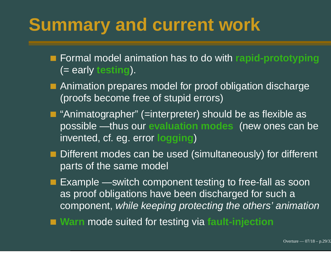## **Summary and current work**

- Formal model animation has to do with **rapid-prototyping** (= early **testing**).
- Animation prepares model for proof obligation discharge (proofs become free of stupid errors)
- "Animatographer" (=interpreter) should be as flexible as possible — thus our **evaluation modes** (new ones can be invented, cf. eg. error **logging**)
- Different modes can be used (simultaneously) for different parts of the same model
- **Example switch component testing to free-fall as soon** as proof obligations have been discharged for such <sup>a</sup> component, while keeping protecting the others' animation
- **Warn** mode suited for testing via **fault-injection**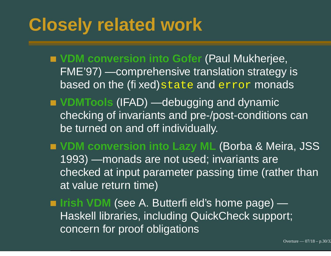## **Closely related work**

**VDM conversion into Gofer** (Paul Mukherjee, FME'97) — comprehensive translation strategy is based on the (fi xed) $\mathtt{state}$  and  $\mathtt{error}$  monads

- **VDMTools** (IFAD) debugging and dynamic checking of invariants and pre-/post-conditions can be turned on and off individually.
- **VDM conversion into Lazy ML** (Borba & Meira, JSS 1993) — monads are not used; invariants are checked at input parameter passing time (rather than at value return time)

**Irish VDM** (see A. Butterfi eld's home page) — Haskell libraries, including QuickCheck support; concern for proof obligations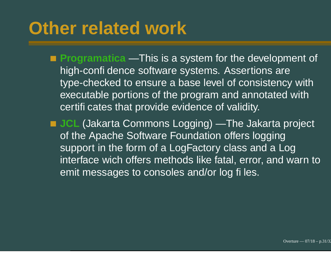## **Other related work**

- **Programatica** This is a system for the development of high-confi dence software systems. Assertions are type-checked to ensure <sup>a</sup> base level of consistency with executable portions of the program and annotated with certifi cates that provide evidence of validity.
- **JCL** (Jakarta Commons Logging) The Jakarta project of the Apache Software Foundation offers logging support in the form of <sup>a</sup> LogFactory class and <sup>a</sup> Log interface wich offers methods like fatal, error, and warn to emit messages to consoles and/or log files.